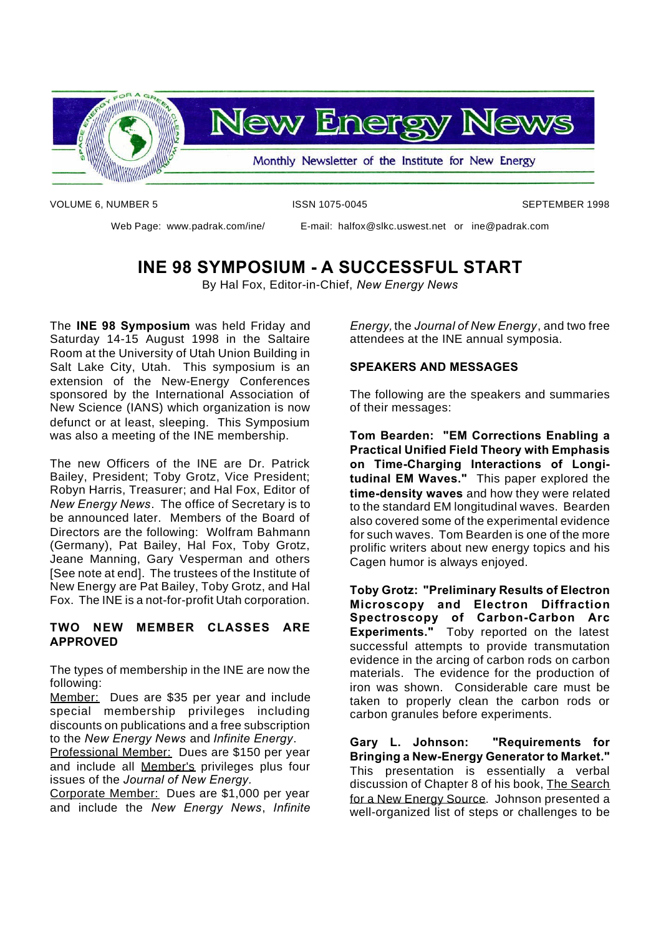

VOLUME 6, NUMBER 5 **ISSN 1075-0045** ISSN 1075-0045

Web Page: www.padrak.com/ine/ E-mail: halfox@slkc.uswest.net or ine@padrak.com

#### **INE 98 SYMPOSIUM - A SUCCESSFUL START**

By Hal Fox, Editor-in-Chief, *New Energy News*

The **INE 98 Symposium** was held Friday and Saturday 14-15 August 1998 in the Saltaire Room at the University of Utah Union Building in Salt Lake City, Utah. This symposium is an extension of the New-Energy Conferences sponsored by the International Association of New Science (IANS) which organization is now defunct or at least, sleeping. This Symposium was also a meeting of the INE membership.

The new Officers of the INE are Dr. Patrick Bailey, President; Toby Grotz, Vice President; Robyn Harris, Treasurer; and Hal Fox, Editor of *New Energy News*. The office of Secretary is to be announced later. Members of the Board of Directors are the following: Wolfram Bahmann (Germany), Pat Bailey, Hal Fox, Toby Grotz, Jeane Manning, Gary Vesperman and others [See note at end]. The trustees of the Institute of New Energy are Pat Bailey, Toby Grotz, and Hal Fox. The INE is a not-for-profit Utah corporation.

#### **TWO NEW MEMBER CLASSES ARE APPROVED**

The types of membership in the INE are now the following:

Member: Dues are \$35 per year and include special membership privileges including discounts on publications and a free subscription to the *New Energy News* and *Infinite Energy*.

Professional Member: Dues are \$150 per year and include all Member's privileges plus four issues of the *Journal of New Energy.*

Corporate Member: Dues are \$1,000 per year and include the *New Energy News*, *Infinite* *Energy,* the *Journal of New Energy*, and two free attendees at the INE annual symposia.

#### **SPEAKERS AND MESSAGES**

The following are the speakers and summaries of their messages:

**Tom Bearden: "EM Corrections Enabling a Practical Unified Field Theory with Emphasis on Time-Charging Interactions of Longitudinal EM Waves."** This paper explored the **time-density waves** and how they were related to the standard EM longitudinal waves. Bearden also covered some of the experimental evidence for such waves. Tom Bearden is one of the more prolific writers about new energy topics and his Cagen humor is always enjoyed.

**Toby Grotz: "Preliminary Results of Electron Microscopy and Electron Diffraction Spectroscopy of Carbon-Carbon Arc Experiments."** Toby reported on the latest successful attempts to provide transmutation evidence in the arcing of carbon rods on carbon materials. The evidence for the production of iron was shown. Considerable care must be taken to properly clean the carbon rods or carbon granules before experiments.

**Gary L. Johnson: "Requirements for Bringing a New-Energy Generator to Market."** This presentation is essentially a verbal discussion of Chapter 8 of his book, The Search for a New Energy Source. Johnson presented a well-organized list of steps or challenges to be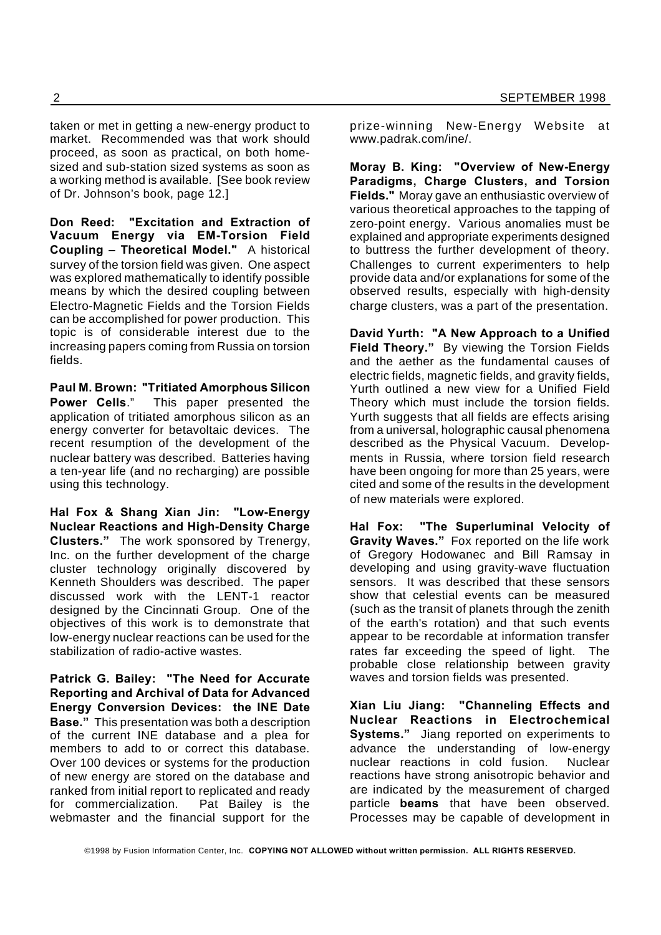taken or met in getting a new-energy product to market. Recommended was that work should proceed, as soon as practical, on both homesized and sub-station sized systems as soon as a working method is available. [See book review of Dr. Johnson's book, page 12.]

**Don Reed: "Excitation and Extraction of Vacuum Energy via EM-Torsion Field Coupling – Theoretical Model."** A historical survey of the torsion field was given. One aspect was explored mathematically to identify possible means by which the desired coupling between Electro-Magnetic Fields and the Torsion Fields can be accomplished for power production. This topic is of considerable interest due to the increasing papers coming from Russia on torsion fields.

**Paul M. Brown: "Tritiated Amorphous Silicon Power Cells**." This paper presented the application of tritiated amorphous silicon as an energy converter for betavoltaic devices. The recent resumption of the development of the nuclear battery was described. Batteries having a ten-year life (and no recharging) are possible using this technology.

**Hal Fox & Shang Xian Jin: "Low-Energy Nuclear Reactions and High-Density Charge Clusters."** The work sponsored by Trenergy, Inc. on the further development of the charge cluster technology originally discovered by Kenneth Shoulders was described. The paper discussed work with the LENT-1 reactor designed by the Cincinnati Group. One of the objectives of this work is to demonstrate that low-energy nuclear reactions can be used for the stabilization of radio-active wastes.

**Patrick G. Bailey: "The Need for Accurate Reporting and Archival of Data for Advanced Energy Conversion Devices: the INE Date Base."** This presentation was both a description of the current INE database and a plea for members to add to or correct this database. Over 100 devices or systems for the production of new energy are stored on the database and ranked from initial report to replicated and ready for commercialization. Pat Bailey is the webmaster and the financial support for the

prize-winning New-Energy Website at www.padrak.com/ine/.

**Moray B. King: "Overview of New-Energy Paradigms, Charge Clusters, and Torsion Fields."** Moray gave an enthusiastic overview of various theoretical approaches to the tapping of zero-point energy. Various anomalies must be explained and appropriate experiments designed to buttress the further development of theory. Challenges to current experimenters to help provide data and/or explanations for some of the observed results, especially with high-density charge clusters, was a part of the presentation.

**David Yurth: "A New Approach to a Unified Field Theory."** By viewing the Torsion Fields and the aether as the fundamental causes of electric fields, magnetic fields, and gravity fields, Yurth outlined a new view for a Unified Field Theory which must include the torsion fields. Yurth suggests that all fields are effects arising from a universal, holographic causal phenomena described as the Physical Vacuum. Developments in Russia, where torsion field research have been ongoing for more than 25 years, were cited and some of the results in the development of new materials were explored.

**Hal Fox: "The Superluminal Velocity of Gravity Waves."** Fox reported on the life work of Gregory Hodowanec and Bill Ramsay in developing and using gravity-wave fluctuation sensors. It was described that these sensors show that celestial events can be measured (such as the transit of planets through the zenith of the earth's rotation) and that such events appear to be recordable at information transfer rates far exceeding the speed of light. The probable close relationship between gravity waves and torsion fields was presented.

**Xian Liu Jiang: "Channeling Effects and Nuclear Reactions in Electrochemical Systems."** Jiang reported on experiments to advance the understanding of low-energy nuclear reactions in cold fusion. Nuclear reactions have strong anisotropic behavior and are indicated by the measurement of charged particle **beams** that have been observed. Processes may be capable of development in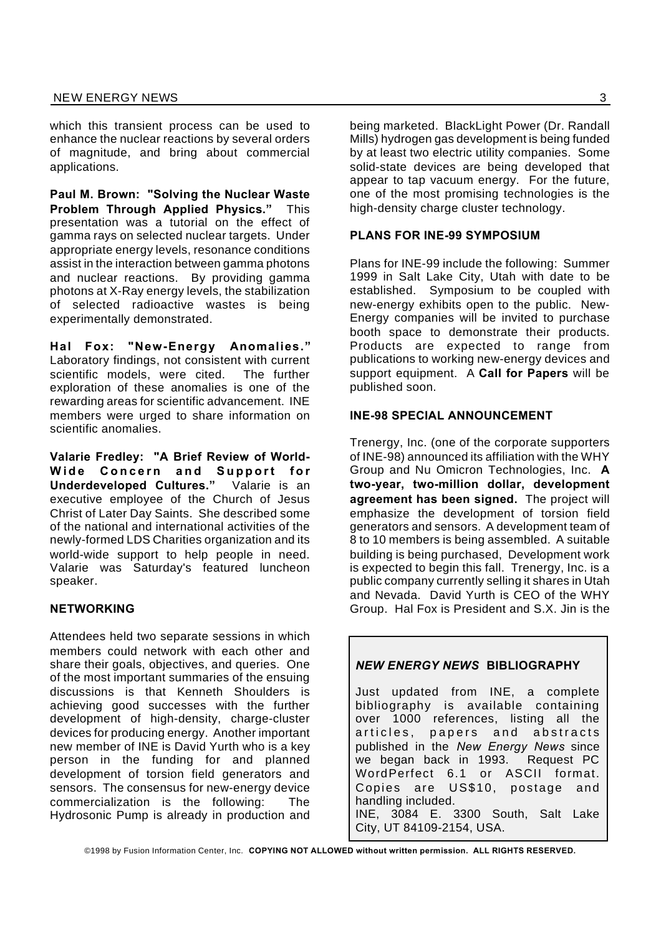which this transient process can be used to enhance the nuclear reactions by several orders of magnitude, and bring about commercial applications.

**Paul M. Brown: "Solving the Nuclear Waste Problem Through Applied Physics."** This presentation was a tutorial on the effect of gamma rays on selected nuclear targets. Under appropriate energy levels, resonance conditions assist in the interaction between gamma photons and nuclear reactions. By providing gamma photons at X-Ray energy levels, the stabilization of selected radioactive wastes is being experimentally demonstrated.

**Hal Fox: "New-Energy Anomalies."** Laboratory findings, not consistent with current scientific models, were cited. The further exploration of these anomalies is one of the rewarding areas for scientific advancement. INE members were urged to share information on scientific anomalies.

**Valarie Fredley: "A Brief Review of World-**Wide Concern and Support for **Underdeveloped Cultures."** Valarie is an executive employee of the Church of Jesus Christ of Later Day Saints. She described some of the national and international activities of the newly-formed LDS Charities organization and its world-wide support to help people in need. Valarie was Saturday's featured luncheon speaker.

#### **NETWORKING**

Attendees held two separate sessions in which members could network with each other and share their goals, objectives, and queries. One of the most important summaries of the ensuing discussions is that Kenneth Shoulders is achieving good successes with the further development of high-density, charge-cluster devices for producing energy. Another important new member of INE is David Yurth who is a key person in the funding for and planned development of torsion field generators and sensors. The consensus for new-energy device commercialization is the following: The Hydrosonic Pump is already in production and being marketed. BlackLight Power (Dr. Randall Mills) hydrogen gas development is being funded by at least two electric utility companies. Some solid-state devices are being developed that appear to tap vacuum energy. For the future, one of the most promising technologies is the high-density charge cluster technology.

#### **PLANS FOR INE-99 SYMPOSIUM**

Plans for INE-99 include the following: Summer 1999 in Salt Lake City, Utah with date to be established. Symposium to be coupled with new-energy exhibits open to the public. New-Energy companies will be invited to purchase booth space to demonstrate their products. Products are expected to range from publications to working new-energy devices and support equipment. A **Call for Papers** will be published soon.

#### **INE-98 SPECIAL ANNOUNCEMENT**

Trenergy, Inc. (one of the corporate supporters of INE-98) announced its affiliation with the WHY Group and Nu Omicron Technologies, Inc. **A two-year, two-million dollar, development agreement has been signed.** The project will emphasize the development of torsion field generators and sensors. A development team of 8 to 10 members is being assembled. A suitable building is being purchased, Development work is expected to begin this fall. Trenergy, Inc. is a public company currently selling it shares in Utah and Nevada. David Yurth is CEO of the WHY Group. Hal Fox is President and S.X. Jin is the

#### *NEW ENERGY NEWS* **BIBLIOGRAPHY**

Just updated from INE, a complete bibliography is available containing over 1000 references, listing all the articles, papers and abstracts published in the *New Energy News* since we began back in 1993. Request PC WordPerfect 6.1 or ASCII format. Copies are US\$10, postage and handling included. INE, 3084 E. 3300 South, Salt Lake City, UT 84109-2154, USA.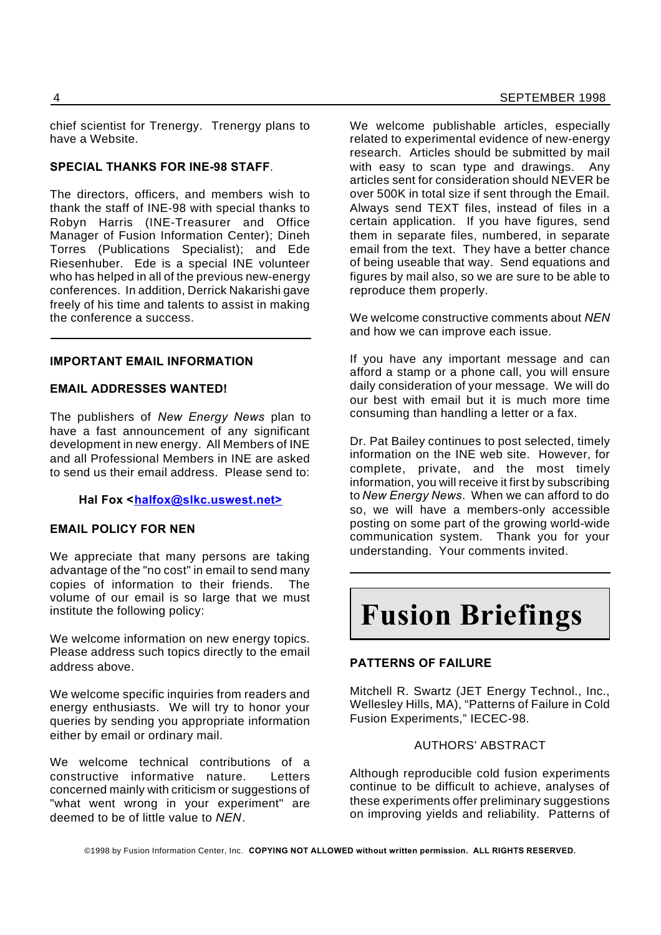chief scientist for Trenergy. Trenergy plans to have a Website.

#### **SPECIAL THANKS FOR INE-98 STAFF**.

The directors, officers, and members wish to thank the staff of INE-98 with special thanks to Robyn Harris (INE-Treasurer and Office Manager of Fusion Information Center); Dineh Torres (Publications Specialist); and Ede Riesenhuber. Ede is a special INE volunteer who has helped in all of the previous new-energy conferences. In addition, Derrick Nakarishi gave freely of his time and talents to assist in making the conference a success.

#### **IMPORTANT EMAIL INFORMATION**

#### **EMAIL ADDRESSES WANTED!**

The publishers of *New Energy News* plan to have a fast announcement of any significant development in new energy. All Members of INE and all Professional Members in INE are asked to send us their email address. Please send to:

#### Hal Fox <halfox@slkc.uswest.net>

#### **EMAIL POLICY FOR NEN**

We appreciate that many persons are taking advantage of the "no cost" in email to send many copies of information to their friends. The volume of our email is so large that we must institute the following policy:

We welcome information on new energy topics. Please address such topics directly to the email address above.

We welcome specific inquiries from readers and energy enthusiasts. We will try to honor your queries by sending you appropriate information either by email or ordinary mail.

We welcome technical contributions of a constructive informative nature. Letters concerned mainly with criticism or suggestions of "what went wrong in your experiment" are deemed to be of little value to *NEN*.

We welcome publishable articles, especially related to experimental evidence of new-energy research. Articles should be submitted by mail with easy to scan type and drawings. Any articles sent for consideration should NEVER be over 500K in total size if sent through the Email. Always send TEXT files, instead of files in a certain application. If you have figures, send them in separate files, numbered, in separate email from the text. They have a better chance of being useable that way. Send equations and figures by mail also, so we are sure to be able to reproduce them properly.

We welcome constructive comments about *NEN* and how we can improve each issue.

If you have any important message and can afford a stamp or a phone call, you will ensure daily consideration of your message. We will do our best with email but it is much more time consuming than handling a letter or a fax.

Dr. Pat Bailey continues to post selected, timely information on the INE web site. However, for complete, private, and the most timely information, you will receive it first by subscribing to *New Energy News*. When we can afford to do so, we will have a members-only accessible posting on some part of the growing world-wide communication system. Thank you for your understanding. Your comments invited.

# **Fusion Briefings**

#### **PATTERNS OF FAILURE**

Mitchell R. Swartz (JET Energy Technol., Inc., Wellesley Hills, MA), "Patterns of Failure in Cold Fusion Experiments," IECEC-98.

#### AUTHORS' ABSTRACT

Although reproducible cold fusion experiments continue to be difficult to achieve, analyses of these experiments offer preliminary suggestions on improving yields and reliability. Patterns of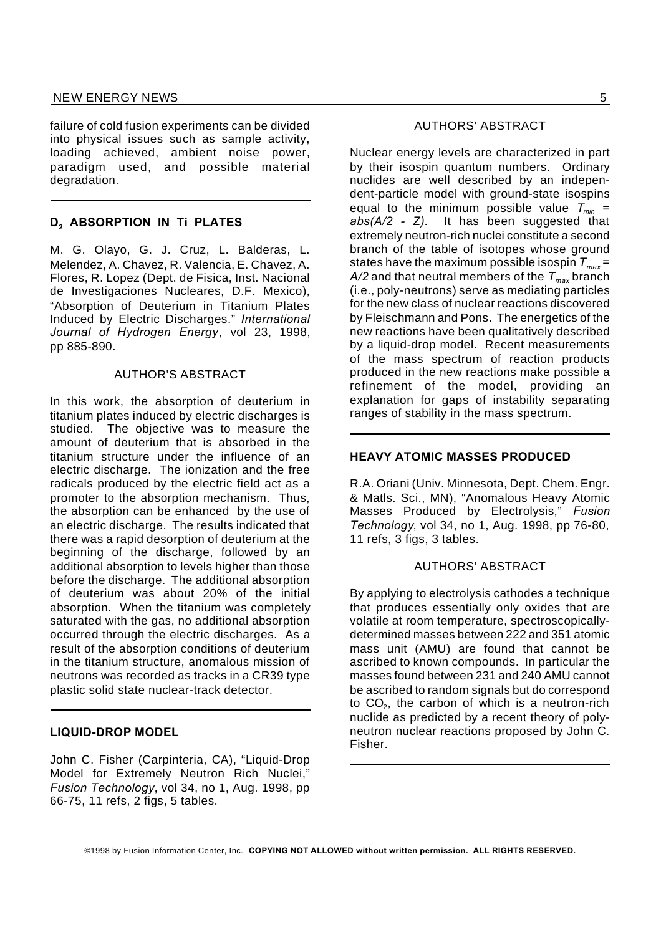failure of cold fusion experiments can be divided into physical issues such as sample activity, loading achieved, ambient noise power, paradigm used, and possible material degradation.

#### **D<sup>2</sup> ABSORPTION IN Ti PLATES**

M. G. Olayo, G. J. Cruz, L. Balderas, L. Melendez, A. Chavez, R. Valencia, E. Chavez, A. Flores, R. Lopez (Dept. de Fisica, Inst. Nacional de Investigaciones Nucleares, D.F. Mexico), "Absorption of Deuterium in Titanium Plates Induced by Electric Discharges." *International Journal of Hydrogen Energy*, vol 23, 1998, pp 885-890.

#### AUTHOR'S ABSTRACT

In this work, the absorption of deuterium in titanium plates induced by electric discharges is studied. The objective was to measure the amount of deuterium that is absorbed in the titanium structure under the influence of an electric discharge. The ionization and the free radicals produced by the electric field act as a promoter to the absorption mechanism. Thus, the absorption can be enhanced by the use of an electric discharge. The results indicated that there was a rapid desorption of deuterium at the beginning of the discharge, followed by an additional absorption to levels higher than those before the discharge. The additional absorption of deuterium was about 20% of the initial absorption. When the titanium was completely saturated with the gas, no additional absorption occurred through the electric discharges. As a result of the absorption conditions of deuterium in the titanium structure, anomalous mission of neutrons was recorded as tracks in a CR39 type plastic solid state nuclear-track detector.

#### **LIQUID-DROP MODEL**

John C. Fisher (Carpinteria, CA), "Liquid-Drop Model for Extremely Neutron Rich Nuclei," *Fusion Technology*, vol 34, no 1, Aug. 1998, pp 66-75, 11 refs, 2 figs, 5 tables.

#### AUTHORS' ABSTRACT

Nuclear energy levels are characterized in part by their isospin quantum numbers. Ordinary nuclides are well described by an independent-particle model with ground-state isospins equal to the minimum possible value *Tmin = abs(A/2 - Z)*. It has been suggested that extremely neutron-rich nuclei constitute a second branch of the table of isotopes whose ground states have the maximum possible isospin *Tmax=*  $A/2$  and that neutral members of the  $T_{max}$  branch (i.e., poly-neutrons) serve as mediating particles for the new class of nuclear reactions discovered by Fleischmann and Pons. The energetics of the new reactions have been qualitatively described by a liquid-drop model. Recent measurements of the mass spectrum of reaction products produced in the new reactions make possible a refinement of the model, providing an explanation for gaps of instability separating ranges of stability in the mass spectrum.

#### **HEAVY ATOMIC MASSES PRODUCED**

R.A. Oriani (Univ. Minnesota, Dept. Chem. Engr. & Matls. Sci., MN), "Anomalous Heavy Atomic Masses Produced by Electrolysis," *Fusion Technology*, vol 34, no 1, Aug. 1998, pp 76-80, 11 refs, 3 figs, 3 tables.

#### AUTHORS' ABSTRACT

By applying to electrolysis cathodes a technique that produces essentially only oxides that are volatile at room temperature, spectroscopicallydetermined masses between 222 and 351 atomic mass unit (AMU) are found that cannot be ascribed to known compounds. In particular the masses found between 231 and 240 AMU cannot be ascribed to random signals but do correspond to CO $_2$ , the carbon of which is a neutron-rich nuclide as predicted by a recent theory of polyneutron nuclear reactions proposed by John C. Fisher.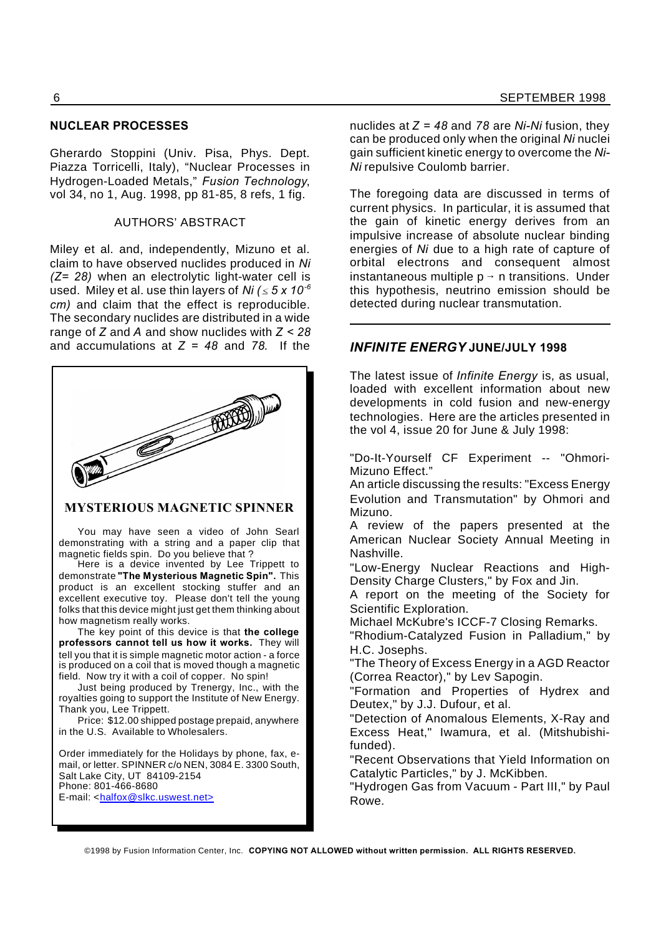#### **NUCLEAR PROCESSES**

Gherardo Stoppini (Univ. Pisa, Phys. Dept. Piazza Torricelli, Italy), "Nuclear Processes in Hydrogen-Loaded Metals," *Fusion Technology*, vol 34, no 1, Aug. 1998, pp 81-85, 8 refs, 1 fig.

#### AUTHORS' ABSTRACT

Miley et al. and, independently, Mizuno et al. claim to have observed nuclides produced in *Ni (Z= 28)* when an electrolytic light-water cell is used. Miley et al. use thin layers of *Ni*  $( \leq 5 \times 10^{-6} )$ *cm)* and claim that the effect is reproducible. The secondary nuclides are distributed in a wide range of *Z* and *A* and show nuclides with *Z < 28* and accumulations at *Z = 48* and *78*. If the



#### **MYSTERIOUS MAGNETIC SPINNER**

You may have seen a video of John Searl demonstrating with a string and a paper clip that magnetic fields spin. Do you believe that ?

Here is a device invented by Lee Trippett to demonstrate **"The Mysterious Magnetic Spin".** This product is an excellent stocking stuffer and an excellent executive toy. Please don't tell the young folks that this device might just get them thinking about how magnetism really works.

The key point of this device is that **the college professors cannot tell us how it works.** They will tell you that it is simple magnetic motor action - a force is produced on a coil that is moved though a magnetic field. Now try it with a coil of copper. No spin!

Just being produced by Trenergy, Inc., with the royalties going to support the Institute of New Energy. Thank you, Lee Trippett.

Price: \$12.00 shipped postage prepaid, anywhere in the U.S. Available to Wholesalers.

Order immediately for the Holidays by phone, fax, email, or letter. SPINNER c/o NEN, 3084 E. 3300 South, Salt Lake City, UT 84109-2154 Phone: 801-466-8680 E-mail: <halfox@slkc.uswest.net>

nuclides at *Z = 48* and *78* are *Ni-Ni* fusion, they can be produced only when the original *Ni* nuclei gain sufficient kinetic energy to overcome the *Ni-Ni* repulsive Coulomb barrier.

The foregoing data are discussed in terms of current physics. In particular, it is assumed that the gain of kinetic energy derives from an impulsive increase of absolute nuclear binding energies of *Ni* due to a high rate of capture of orbital electrons and consequent almost instantaneous multiple  $p \rightarrow n$  transitions. Under this hypothesis, neutrino emission should be detected during nuclear transmutation.

#### *INFINITE ENERGY* **JUNE/JULY 1998**

The latest issue of *Infinite Energy* is, as usual, loaded with excellent information about new developments in cold fusion and new-energy technologies. Here are the articles presented in the vol 4, issue 20 for June & July 1998:

"Do-It-Yourself CF Experiment -- "Ohmori-Mizuno Effect."

An article discussing the results: "Excess Energy Evolution and Transmutation" by Ohmori and Mizuno.

A review of the papers presented at the American Nuclear Society Annual Meeting in Nashville.

"Low-Energy Nuclear Reactions and High-Density Charge Clusters," by Fox and Jin.

A report on the meeting of the Society for Scientific Exploration.

Michael McKubre's ICCF-7 Closing Remarks.

"Rhodium-Catalyzed Fusion in Palladium," by H.C. Josephs.

"The Theory of Excess Energy in a AGD Reactor (Correa Reactor)," by Lev Sapogin.

"Formation and Properties of Hydrex and Deutex," by J.J. Dufour, et al.

"Detection of Anomalous Elements, X-Ray and Excess Heat," Iwamura, et al. (Mitshubishifunded).

"Recent Observations that Yield Information on Catalytic Particles," by J. McKibben.

"Hydrogen Gas from Vacuum - Part III," by Paul Rowe.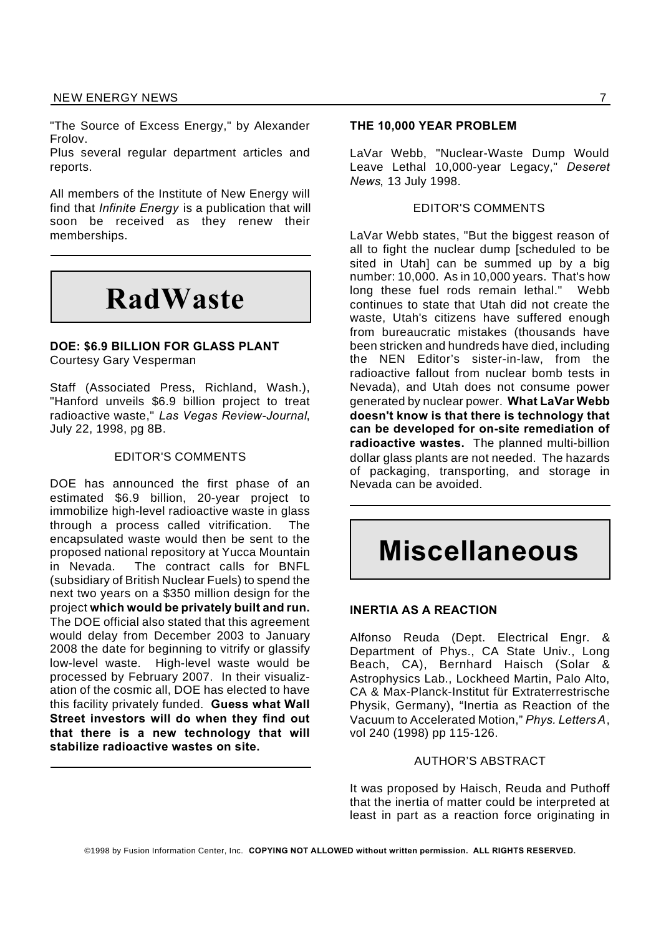"The Source of Excess Energy," by Alexander Frolov.

Plus several regular department articles and reports.

All members of the Institute of New Energy will find that *Infinite Energy* is a publication that will soon be received as they renew their memberships.

## **RadWaste**

#### **DOE: \$6.9 BILLION FOR GLASS PLANT** Courtesy Gary Vesperman

Staff (Associated Press, Richland, Wash.), "Hanford unveils \$6.9 billion project to treat radioactive waste," *Las Vegas Review-Journal*, July 22, 1998, pg 8B.

#### EDITOR'S COMMENTS

DOE has announced the first phase of an estimated \$6.9 billion, 20-year project to immobilize high-level radioactive waste in glass through a process called vitrification. The encapsulated waste would then be sent to the proposed national repository at Yucca Mountain in Nevada. The contract calls for BNFL (subsidiary of British Nuclear Fuels) to spend the next two years on a \$350 million design for the project **which would be privately built and run.** The DOE official also stated that this agreement would delay from December 2003 to January 2008 the date for beginning to vitrify or glassify low-level waste. High-level waste would be processed by February 2007. In their visualization of the cosmic all, DOE has elected to have this facility privately funded. **Guess what Wall Street investors will do when they find out that there is a new technology that will stabilize radioactive wastes on site.**

#### **THE 10,000 YEAR PROBLEM**

LaVar Webb, "Nuclear-Waste Dump Would Leave Lethal 10,000-year Legacy," *Deseret News*, 13 July 1998.

#### EDITOR'S COMMENTS

LaVar Webb states, "But the biggest reason of all to fight the nuclear dump [scheduled to be sited in Utahl can be summed up by a big number: 10,000. As in 10,000 years. That's how long these fuel rods remain lethal." Webb continues to state that Utah did not create the waste, Utah's citizens have suffered enough from bureaucratic mistakes (thousands have been stricken and hundreds have died, including the NEN Editor's sister-in-law, from the radioactive fallout from nuclear bomb tests in Nevada), and Utah does not consume power generated by nuclear power. **What LaVar Webb doesn't know is that there is technology that can be developed for on-site remediation of radioactive wastes.** The planned multi-billion dollar glass plants are not needed. The hazards of packaging, transporting, and storage in Nevada can be avoided.

## **Miscellaneous**

#### **INERTIA AS A REACTION**

Alfonso Reuda (Dept. Electrical Engr. & Department of Phys., CA State Univ., Long Beach, CA), Bernhard Haisch (Solar & Astrophysics Lab., Lockheed Martin, Palo Alto, CA & Max-Planck-Institut für Extraterrestrische Physik, Germany), "Inertia as Reaction of the Vacuum to Accelerated Motion," *Phys. LettersA*, vol 240 (1998) pp 115-126.

#### AUTHOR'S ABSTRACT

It was proposed by Haisch, Reuda and Puthoff that the inertia of matter could be interpreted at least in part as a reaction force originating in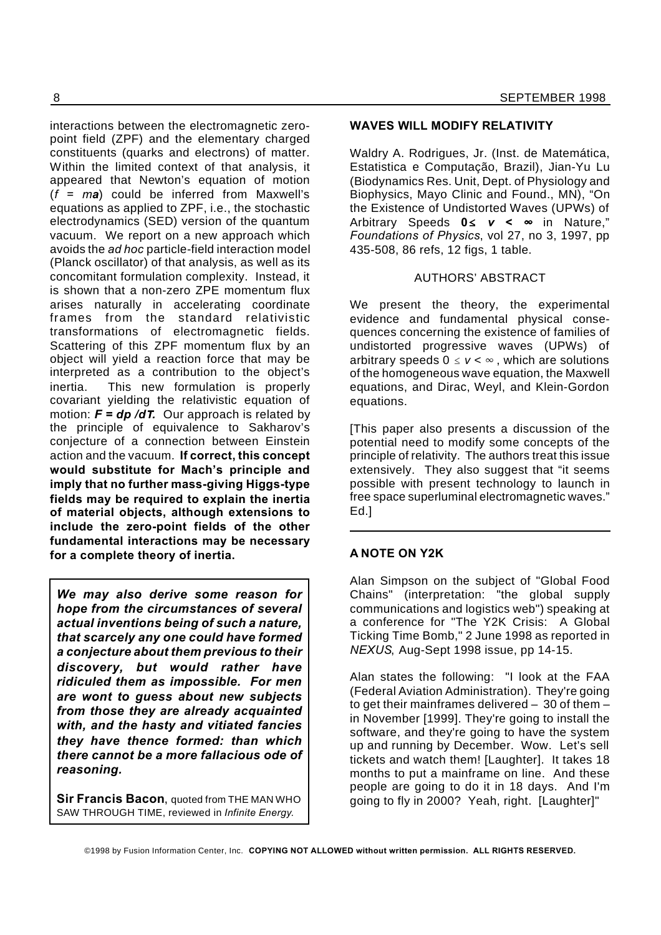interactions between the electromagnetic zeropoint field (ZPF) and the elementary charged constituents (quarks and electrons) of matter. Within the limited context of that analysis, it appeared that Newton's equation of motion (*f = ma*) could be inferred from Maxwell's equations as applied to ZPF, i.e., the stochastic electrodynamics (SED) version of the quantum vacuum. We report on a new approach which avoids the *ad hoc* particle-field interaction model (Planck oscillator) of that analysis, as well as its concomitant formulation complexity. Instead, it is shown that a non-zero ZPE momentum flux arises naturally in accelerating coordinate frames from the standard relativistic transformations of electromagnetic fields. Scattering of this ZPF momentum flux by an object will yield a reaction force that may be interpreted as a contribution to the object's inertia. This new formulation is properly covariant yielding the relativistic equation of motion:  $F = dp/dT$ . Our approach is related by the principle of equivalence to Sakharov's conjecture of a connection between Einstein action and the vacuum. **If correct, this concept would substitute for Mach's principle and imply that no further mass-giving Higgs-type fields may be required to explain the inertia of material objects, although extensions to include the zero-point fields of the other fundamental interactions may be necessary for a complete theory of inertia.**

*We may also derive some reason for hope from the circumstances of several actual inventions being of such a nature, that scarcely any one could have formed a conjecture about them previous to their discovery, but would rather have ridiculed them as impossible. For men are wont to guess about new subjects from those they are already acquainted with, and the hasty and vitiated fancies they have thence formed: than which there cannot be a more fallacious ode of reasoning.*

**Sir Francis Bacon**, quoted from THE MAN WHO SAW THROUGH TIME, reviewed in *Infinite Energy*.

#### **WAVES WILL MODIFY RELATIVITY**

Waldry A. Rodrigues, Jr. (Inst. de Matemática, Estatistica e Computação, Brazil), Jian-Yu Lu (Biodynamics Res. Unit, Dept. of Physiology and Biophysics, Mayo Clinic and Found., MN), "On the Existence of Undistorted Waves (UPWs) of Arbitrary Speeds 0≤ v < ∞ in Nature," *Foundations of Physics*, vol 27, no 3, 1997, pp 435-508, 86 refs, 12 figs, 1 table.

#### AUTHORS' ABSTRACT

We present the theory, the experimental evidence and fundamental physical consequences concerning the existence of families of undistorted progressive waves (UPWs) of arbitrary speeds  $0 \le v < \infty$ , which are solutions of the homogeneous wave equation, the Maxwell equations, and Dirac, Weyl, and Klein-Gordon equations.

[This paper also presents a discussion of the potential need to modify some concepts of the principle of relativity. The authors treat this issue extensively. They also suggest that "it seems possible with present technology to launch in free space superluminal electromagnetic waves." Ed.]

#### **A NOTE ON Y2K**

Alan Simpson on the subject of "Global Food Chains" (interpretation: "the global supply communications and logistics web") speaking at a conference for "The Y2K Crisis: A Global Ticking Time Bomb," 2 June 1998 as reported in *NEXUS*, Aug-Sept 1998 issue, pp 14-15.

Alan states the following: "I look at the FAA (Federal Aviation Administration). They're going to get their mainframes delivered – 30 of them – in November [1999]. They're going to install the software, and they're going to have the system up and running by December. Wow. Let's sell tickets and watch them! [Laughter]. It takes 18 months to put a mainframe on line. And these people are going to do it in 18 days. And I'm going to fly in 2000? Yeah, right. [Laughter]"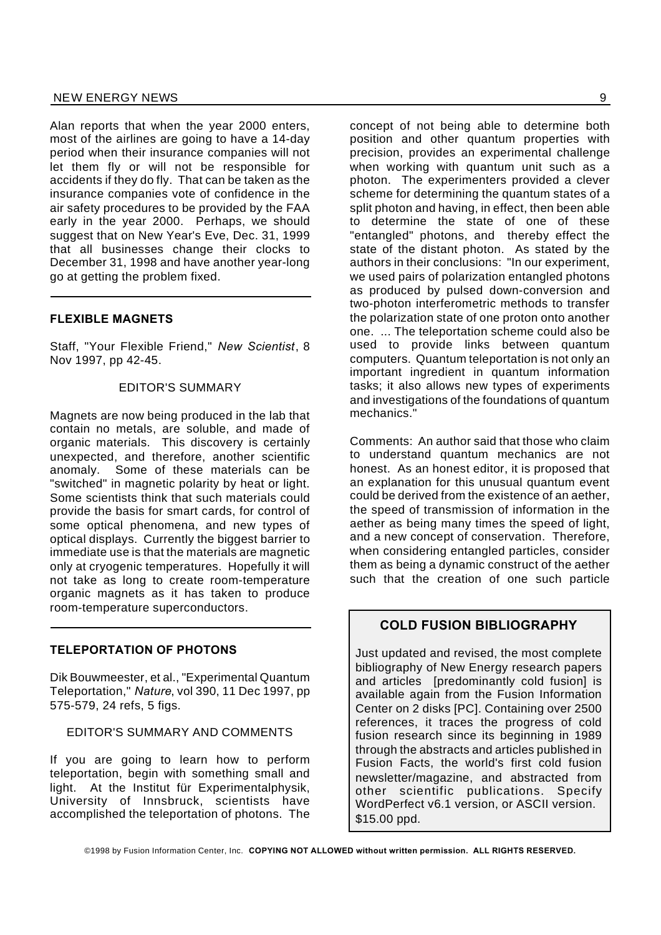Alan reports that when the year 2000 enters, most of the airlines are going to have a 14-day period when their insurance companies will not let them fly or will not be responsible for accidents if they do fly. That can be taken as the insurance companies vote of confidence in the air safety procedures to be provided by the FAA early in the year 2000. Perhaps, we should suggest that on New Year's Eve, Dec. 31, 1999 that all businesses change their clocks to December 31, 1998 and have another year-long go at getting the problem fixed.

#### **FLEXIBLE MAGNETS**

Staff, "Your Flexible Friend," *New Scientist*, 8 Nov 1997, pp 42-45.

#### EDITOR'S SUMMARY

Magnets are now being produced in the lab that contain no metals, are soluble, and made of organic materials. This discovery is certainly unexpected, and therefore, another scientific anomaly. Some of these materials can be "switched" in magnetic polarity by heat or light. Some scientists think that such materials could provide the basis for smart cards, for control of some optical phenomena, and new types of optical displays. Currently the biggest barrier to immediate use is that the materials are magnetic only at cryogenic temperatures. Hopefully it will not take as long to create room-temperature organic magnets as it has taken to produce room-temperature superconductors.

#### **TELEPORTATION OF PHOTONS**

Dik Bouwmeester, et al., "Experimental Quantum Teleportation," *Nature*, vol 390, 11 Dec 1997, pp 575-579, 24 refs, 5 figs.

#### EDITOR'S SUMMARY AND COMMENTS

If you are going to learn how to perform teleportation, begin with something small and light. At the Institut für Experimentalphysik, University of Innsbruck, scientists have accomplished the teleportation of photons. The

concept of not being able to determine both position and other quantum properties with precision, provides an experimental challenge when working with quantum unit such as a photon. The experimenters provided a clever scheme for determining the quantum states of a split photon and having, in effect, then been able to determine the state of one of these "entangled" photons, and thereby effect the state of the distant photon. As stated by the authors in their conclusions: "In our experiment, we used pairs of polarization entangled photons as produced by pulsed down-conversion and two-photon interferometric methods to transfer the polarization state of one proton onto another one. ... The teleportation scheme could also be used to provide links between quantum computers. Quantum teleportation is not only an important ingredient in quantum information tasks; it also allows new types of experiments and investigations of the foundations of quantum mechanics."

Comments: An author said that those who claim to understand quantum mechanics are not honest. As an honest editor, it is proposed that an explanation for this unusual quantum event could be derived from the existence of an aether, the speed of transmission of information in the aether as being many times the speed of light, and a new concept of conservation. Therefore, when considering entangled particles, consider them as being a dynamic construct of the aether such that the creation of one such particle

#### **COLD FUSION BIBLIOGRAPHY**

Just updated and revised, the most complete bibliography of New Energy research papers and articles [predominantly cold fusion] is available again from the Fusion Information Center on 2 disks [PC]. Containing over 2500 references, it traces the progress of cold fusion research since its beginning in 1989 through the abstracts and articles published in Fusion Facts, the world's first cold fusion newsletter/magazine, and abstracted from other scientific publications. Specify WordPerfect v6.1 version, or ASCII version. \$15.00 ppd.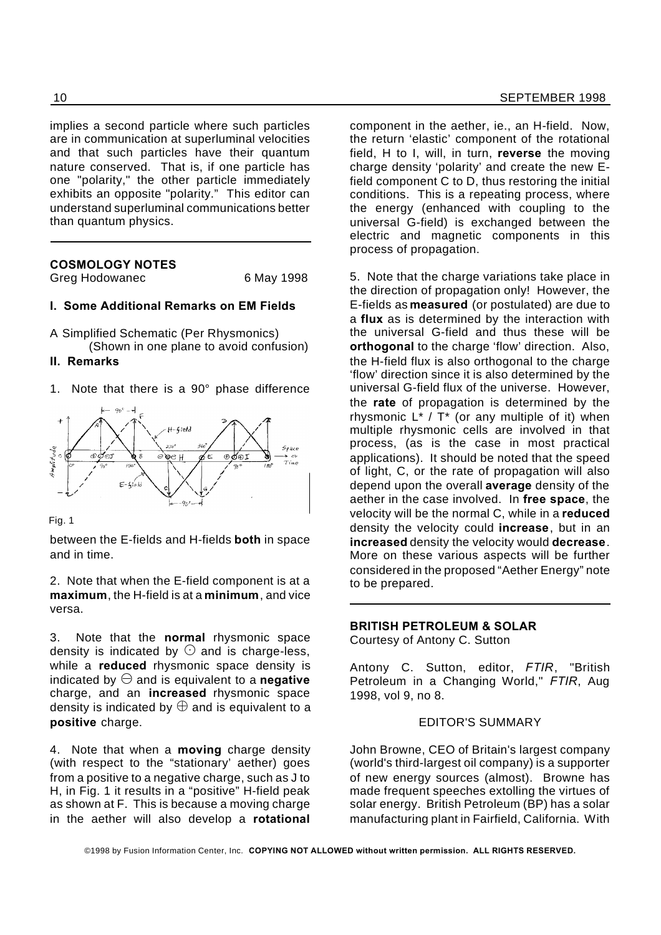implies a second particle where such particles are in communication at superluminal velocities and that such particles have their quantum nature conserved. That is, if one particle has one "polarity," the other particle immediately exhibits an opposite "polarity." This editor can understand superluminal communications better than quantum physics.

#### **COSMOLOGY NOTES**

Greg Hodowanec 6 May 1998

#### **I. Some Additional Remarks on EM Fields**

A Simplified Schematic (Per Rhysmonics) (Shown in one plane to avoid confusion)

#### **II. Remarks**

1. Note that there is a 90° phase difference



Fig. 1

between the E-fields and H-fields **both** in space and in time.

2. Note that when the E-field component is at a **maximum**, the H-field is at a **minimum**, and vice versa.

3. Note that the **normal** rhysmonic space density is indicated by  $\odot$  and is charge-less, while a **reduced** rhysmonic space density is indicated by  $\ominus$  and is equivalent to a **negative** charge, and an **increased** rhysmonic space density is indicated by  $\oplus$  and is equivalent to a **positive** charge.

4. Note that when a **moving** charge density (with respect to the "stationary' aether) goes from a positive to a negative charge, such as J to H, in Fig. 1 it results in a "positive" H-field peak as shown at F. This is because a moving charge in the aether will also develop a **rotational** component in the aether, ie., an H-field. Now, the return 'elastic' component of the rotational field, H to I, will, in turn, **reverse** the moving charge density 'polarity' and create the new Efield component C to D, thus restoring the initial conditions. This is a repeating process, where the energy (enhanced with coupling to the universal G-field) is exchanged between the electric and magnetic components in this process of propagation.

5. Note that the charge variations take place in the direction of propagation only! However, the E-fields as **measured** (or postulated) are due to a **flux** as is determined by the interaction with the universal G-field and thus these will be **orthogonal** to the charge 'flow' direction. Also, the H-field flux is also orthogonal to the charge 'flow' direction since it is also determined by the universal G-field flux of the universe. However, the **rate** of propagation is determined by the rhysmonic  $L^*$  /  $T^*$  (or any multiple of it) when multiple rhysmonic cells are involved in that process, (as is the case in most practical applications). It should be noted that the speed of light, C, or the rate of propagation will also depend upon the overall **average** density of the aether in the case involved. In **free space**, the velocity will be the normal C, while in a **reduced** density the velocity could **increase**, but in an **increased** density the velocity would **decrease**. More on these various aspects will be further considered in the proposed "Aether Energy" note to be prepared.

#### **BRITISH PETROLEUM & SOLAR**

Courtesy of Antony C. Sutton

Antony C. Sutton, editor, *FTIR*, "British Petroleum in a Changing World," *FTIR*, Aug 1998, vol 9, no 8.

#### EDITOR'S SUMMARY

John Browne, CEO of Britain's largest company (world's third-largest oil company) is a supporter of new energy sources (almost). Browne has made frequent speeches extolling the virtues of solar energy. British Petroleum (BP) has a solar manufacturing plant in Fairfield, California. With

©1998 by Fusion Information Center, Inc. **COPYING NOT ALLOWED without written permission. ALL RIGHTS RESERVED.**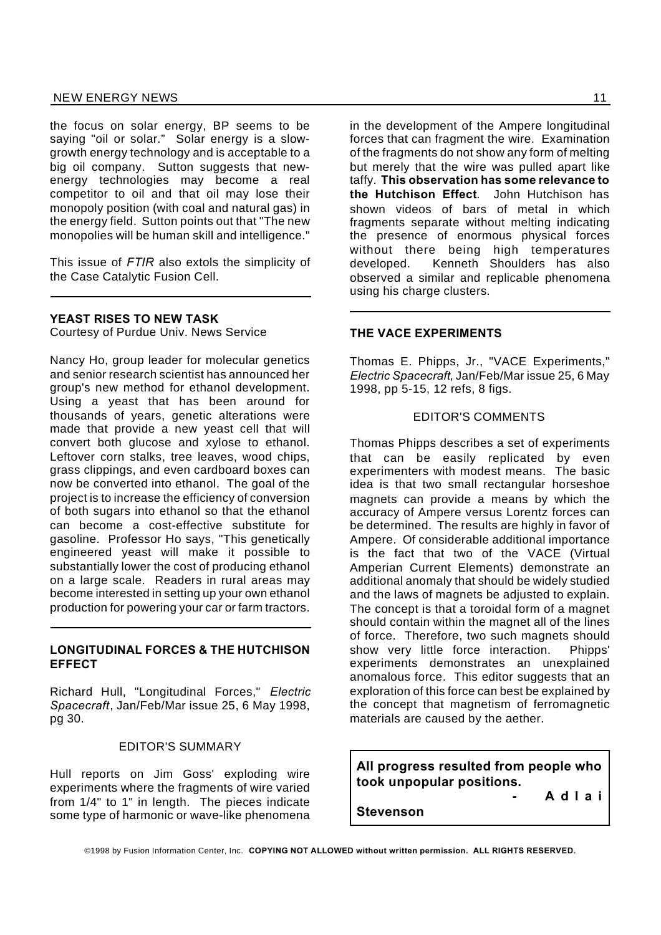the focus on solar energy, BP seems to be saying "oil or solar." Solar energy is a slowgrowth energy technology and is acceptable to a big oil company. Sutton suggests that newenergy technologies may become a real competitor to oil and that oil may lose their monopoly position (with coal and natural gas) in the energy field. Sutton points out that "The new monopolies will be human skill and intelligence."

This issue of *FTIR* also extols the simplicity of the Case Catalytic Fusion Cell.

#### **YEAST RISES TO NEW TASK**

Courtesy of Purdue Univ. News Service

Nancy Ho, group leader for molecular genetics and senior research scientist has announced her group's new method for ethanol development. Using a yeast that has been around for thousands of years, genetic alterations were made that provide a new yeast cell that will convert both glucose and xylose to ethanol. Leftover corn stalks, tree leaves, wood chips, grass clippings, and even cardboard boxes can now be converted into ethanol. The goal of the project is to increase the efficiency of conversion of both sugars into ethanol so that the ethanol can become a cost-effective substitute for gasoline. Professor Ho says, "This genetically engineered yeast will make it possible to substantially lower the cost of producing ethanol on a large scale. Readers in rural areas may become interested in setting up your own ethanol production for powering your car or farm tractors.

#### **LONGITUDINAL FORCES & THE HUTCHISON EFFECT**

Richard Hull, "Longitudinal Forces," *Electric Spacecraft*, Jan/Feb/Mar issue 25, 6 May 1998, pg 30.

#### EDITOR'S SUMMARY

Hull reports on Jim Goss' exploding wire experiments where the fragments of wire varied from 1/4" to 1" in length. The pieces indicate some type of harmonic or wave-like phenomena in the development of the Ampere longitudinal forces that can fragment the wire. Examination of the fragments do not show any form of melting but merely that the wire was pulled apart like taffy. **This observation has some relevance to the Hutchison Effect**. John Hutchison has shown videos of bars of metal in which fragments separate without melting indicating the presence of enormous physical forces without there being high temperatures developed. Kenneth Shoulders has also observed a similar and replicable phenomena using his charge clusters.

#### **THE VACE EXPERIMENTS**

Thomas E. Phipps, Jr., "VACE Experiments," *Electric Spacecraft*, Jan/Feb/Mar issue 25, 6 May 1998, pp 5-15, 12 refs, 8 figs.

#### EDITOR'S COMMENTS

Thomas Phipps describes a set of experiments that can be easily replicated by even experimenters with modest means. The basic idea is that two small rectangular horseshoe magnets can provide a means by which the accuracy of Ampere versus Lorentz forces can be determined. The results are highly in favor of Ampere. Of considerable additional importance is the fact that two of the VACE (Virtual Amperian Current Elements) demonstrate an additional anomaly that should be widely studied and the laws of magnets be adjusted to explain. The concept is that a toroidal form of a magnet should contain within the magnet all of the lines of force. Therefore, two such magnets should show very little force interaction. Phipps' experiments demonstrates an unexplained anomalous force. This editor suggests that an exploration of this force can best be explained by the concept that magnetism of ferromagnetic materials are caused by the aether.

**All progress resulted from people who took unpopular positions.**

**- A d l a i**

**Stevenson**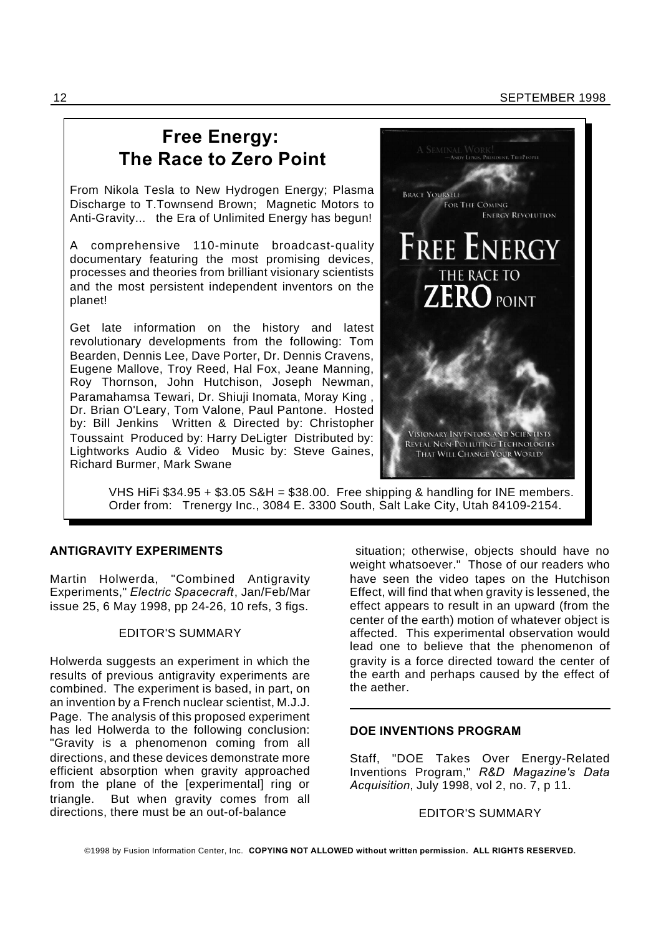### **Free Energy: The Race to Zero Point**

From Nikola Tesla to New Hydrogen Energy; Plasma Discharge to T.Townsend Brown; Magnetic Motors to Anti-Gravity... the Era of Unlimited Energy has begun!

A comprehensive 110-minute broadcast-quality documentary featuring the most promising devices, processes and theories from brilliant visionary scientists and the most persistent independent inventors on the planet!

Get late information on the history and latest revolutionary developments from the following: Tom Bearden, Dennis Lee, Dave Porter, Dr. Dennis Cravens, Eugene Mallove, Troy Reed, Hal Fox, Jeane Manning, Roy Thornson, John Hutchison, Joseph Newman, Paramahamsa Tewari, Dr. Shiuji Inomata, Moray King , Dr. Brian O'Leary, Tom Valone, Paul Pantone. Hosted by: Bill Jenkins Written & Directed by: Christopher Toussaint Produced by: Harry DeLigter Distributed by: Lightworks Audio & Video Music by: Steve Gaines, Richard Burmer, Mark Swane



VHS HiFi \$34.95 + \$3.05 S&H = \$38.00. Free shipping & handling for INE members. Order from: Trenergy Inc., 3084 E. 3300 South, Salt Lake City, Utah 84109-2154.

#### **ANTIGRAVITY EXPERIMENTS**

Martin Holwerda, "Combined Antigravity Experiments," *Electric Spacecraft*, Jan/Feb/Mar issue 25, 6 May 1998, pp 24-26, 10 refs, 3 figs.

#### EDITOR'S SUMMARY

Holwerda suggests an experiment in which the results of previous antigravity experiments are combined. The experiment is based, in part, on an invention by a French nuclear scientist, M.J.J. Page. The analysis of this proposed experiment has led Holwerda to the following conclusion: "Gravity is a phenomenon coming from all directions, and these devices demonstrate more efficient absorption when gravity approached from the plane of the [experimental] ring or triangle. But when gravity comes from all directions, there must be an out-of-balance

situation; otherwise, objects should have no weight whatsoever." Those of our readers who have seen the video tapes on the Hutchison Effect, will find that when gravity is lessened, the effect appears to result in an upward (from the center of the earth) motion of whatever object is affected. This experimental observation would lead one to believe that the phenomenon of gravity is a force directed toward the center of the earth and perhaps caused by the effect of the aether.

#### **DOE INVENTIONS PROGRAM**

Staff, "DOE Takes Over Energy-Related Inventions Program," *R&D Magazine's Data Acquisition*, July 1998, vol 2, no. 7, p 11.

#### EDITOR'S SUMMARY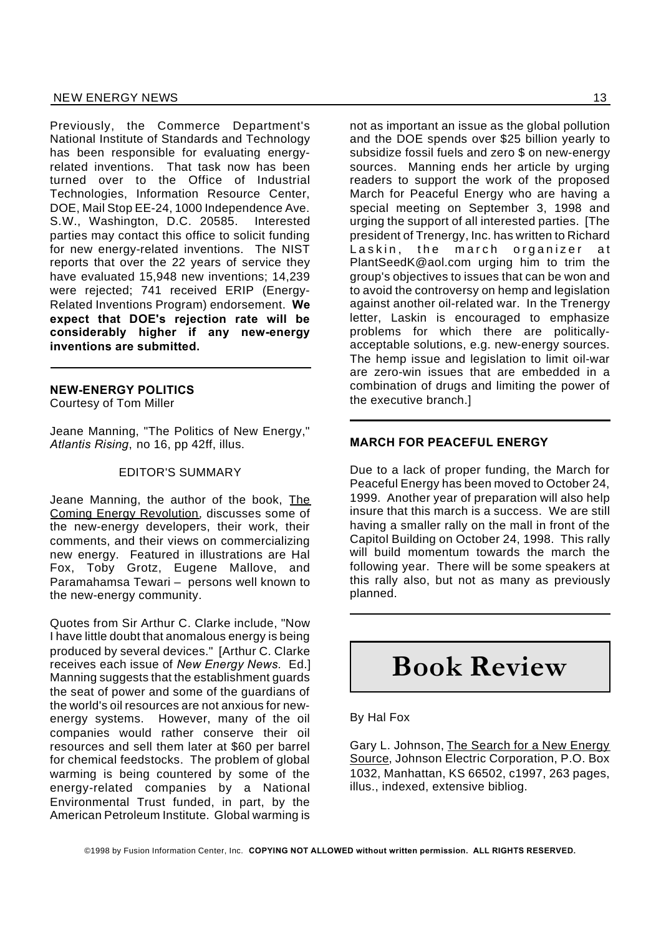Previously, the Commerce Department's National Institute of Standards and Technology has been responsible for evaluating energyrelated inventions. That task now has been turned over to the Office of Industrial Technologies, Information Resource Center, DOE, Mail Stop EE-24, 1000 Independence Ave. S.W., Washington, D.C. 20585. Interested parties may contact this office to solicit funding for new energy-related inventions. The NIST reports that over the 22 years of service they have evaluated 15,948 new inventions; 14,239 were rejected; 741 received ERIP (Energy-Related Inventions Program) endorsement. **We expect that DOE's rejection rate will be considerably higher if any new-energy inventions are submitted.**

#### **NEW-ENERGY POLITICS**

Courtesy of Tom Miller

Jeane Manning, "The Politics of New Energy," *Atlantis Rising*, no 16, pp 42ff, illus.

#### EDITOR'S SUMMARY

Jeane Manning, the author of the book, The Coming Energy Revolution, discusses some of the new-energy developers, their work, their comments, and their views on commercializing new energy. Featured in illustrations are Hal Fox, Toby Grotz, Eugene Mallove, and Paramahamsa Tewari – persons well known to the new-energy community.

Quotes from Sir Arthur C. Clarke include, "Now I have little doubt that anomalous energy is being produced by several devices." [Arthur C. Clarke receives each issue of *New Energy News.* Ed.] Manning suggests that the establishment guards the seat of power and some of the guardians of the world's oil resources are not anxious for newenergy systems. However, many of the oil companies would rather conserve their oil resources and sell them later at \$60 per barrel for chemical feedstocks. The problem of global warming is being countered by some of the energy-related companies by a National Environmental Trust funded, in part, by the American Petroleum Institute. Global warming is

not as important an issue as the global pollution and the DOE spends over \$25 billion yearly to subsidize fossil fuels and zero \$ on new-energy sources. Manning ends her article by urging readers to support the work of the proposed March for Peaceful Energy who are having a special meeting on September 3, 1998 and urging the support of all interested parties. [The president of Trenergy, Inc. has written to Richard Laskin, the march organizer at PlantSeedK@aol.com urging him to trim the group's objectives to issues that can be won and to avoid the controversy on hemp and legislation against another oil-related war. In the Trenergy letter, Laskin is encouraged to emphasize problems for which there are politicallyacceptable solutions, e.g. new-energy sources. The hemp issue and legislation to limit oil-war are zero-win issues that are embedded in a combination of drugs and limiting the power of the executive branch.]

#### **MARCH FOR PEACEFUL ENERGY**

Due to a lack of proper funding, the March for Peaceful Energy has been moved to October 24, 1999. Another year of preparation will also help insure that this march is a success. We are still having a smaller rally on the mall in front of the Capitol Building on October 24, 1998. This rally will build momentum towards the march the following year. There will be some speakers at this rally also, but not as many as previously planned.

## **Book Review**

#### By Hal Fox

Gary L. Johnson, The Search for a New Energy Source, Johnson Electric Corporation, P.O. Box 1032, Manhattan, KS 66502, c1997, 263 pages, illus., indexed, extensive bibliog.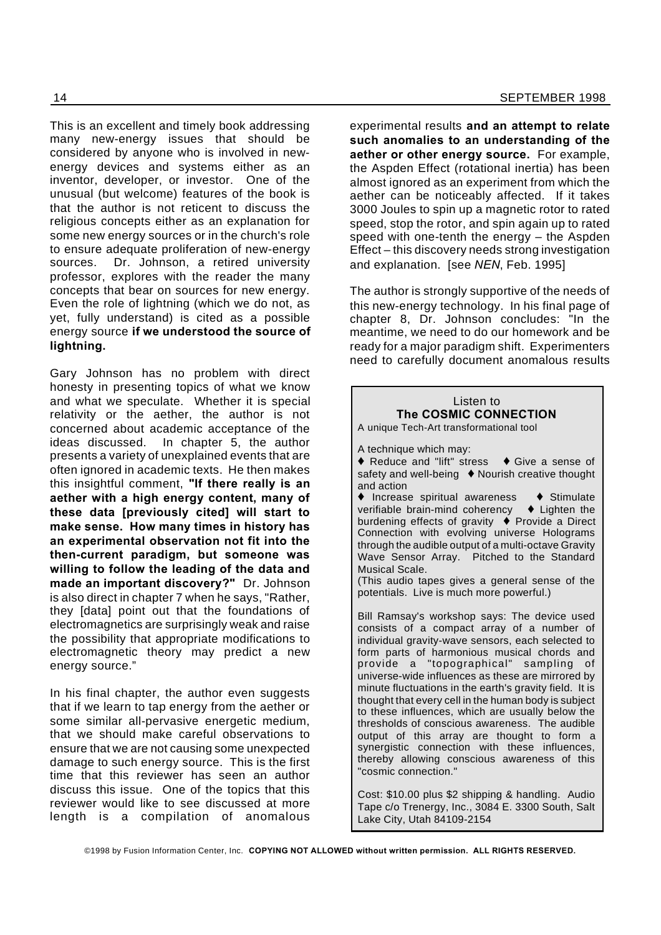This is an excellent and timely book addressing many new-energy issues that should be considered by anyone who is involved in newenergy devices and systems either as an inventor, developer, or investor. One of the unusual (but welcome) features of the book is that the author is not reticent to discuss the religious concepts either as an explanation for some new energy sources or in the church's role to ensure adequate proliferation of new-energy sources. Dr. Johnson, a retired university professor, explores with the reader the many concepts that bear on sources for new energy. Even the role of lightning (which we do not, as yet, fully understand) is cited as a possible energy source **if we understood the source of lightning.**

Gary Johnson has no problem with direct honesty in presenting topics of what we know and what we speculate. Whether it is special relativity or the aether, the author is not concerned about academic acceptance of the ideas discussed. In chapter 5, the author presents a variety of unexplained events that are often ignored in academic texts. He then makes this insightful comment, **"If there really is an aether with a high energy content, many of these data [previously cited] will start to make sense. How many times in history has an experimental observation not fit into the then-current paradigm, but someone was willing to follow the leading of the data and made an important discovery?"** Dr. Johnson is also direct in chapter 7 when he says, "Rather, they [data] point out that the foundations of electromagnetics are surprisingly weak and raise the possibility that appropriate modifications to electromagnetic theory may predict a new energy source."

In his final chapter, the author even suggests that if we learn to tap energy from the aether or some similar all-pervasive energetic medium, that we should make careful observations to ensure that we are not causing some unexpected damage to such energy source. This is the first time that this reviewer has seen an author discuss this issue. One of the topics that this reviewer would like to see discussed at more length is a compilation of anomalous experimental results **and an attempt to relate such anomalies to an understanding of the aether or other energy source.** For example, the Aspden Effect (rotational inertia) has been almost ignored as an experiment from which the aether can be noticeably affected. If it takes 3000 Joules to spin up a magnetic rotor to rated speed, stop the rotor, and spin again up to rated speed with one-tenth the energy – the Aspden Effect – this discovery needs strong investigation and explanation. [see *NEN*, Feb. 1995]

The author is strongly supportive of the needs of this new-energy technology. In his final page of chapter 8, Dr. Johnson concludes: "In the meantime, we need to do our homework and be ready for a major paradigm shift. Experimenters need to carefully document anomalous results

| Listen to<br>The COSMIC CONNECTION<br>A unique Tech-Art transformational tool                                                                                                                                                                                                                                                                                                                                                                                                                                                                                                                                                                                                                |  |
|----------------------------------------------------------------------------------------------------------------------------------------------------------------------------------------------------------------------------------------------------------------------------------------------------------------------------------------------------------------------------------------------------------------------------------------------------------------------------------------------------------------------------------------------------------------------------------------------------------------------------------------------------------------------------------------------|--|
| A technique which may:<br>♦ Reduce and "lift" stress • Give a sense of<br>safety and well-being ♦ Nourish creative thought<br>and action<br>♦ Increase spiritual awareness • Stimulate<br>verifiable brain-mind coherency ♦ Lighten the<br>burdening effects of gravity ♦ Provide a Direct<br>Connection with evolving universe Holograms<br>through the audible output of a multi-octave Gravity<br>Wave Sensor Array. Pitched to the Standard<br>Musical Scale.<br>(This audio tapes gives a general sense of the<br>potentials. Live is much more powerful.)                                                                                                                              |  |
| Bill Ramsay's workshop says: The device used<br>consists of a compact array of a number of<br>individual gravity-wave sensors, each selected to<br>form parts of harmonious musical chords and<br>provide a "topographical" sampling of<br>universe-wide influences as these are mirrored by<br>minute fluctuations in the earth's gravity field. It is<br>thought that every cell in the human body is subject<br>to these influences, which are usually below the<br>thresholds of conscious awareness. The audible<br>output of this array are thought to form a<br>synergistic connection with these influences,<br>thereby allowing conscious awareness of this<br>"cosmic connection." |  |
| Cost: \$10.00 plus \$2 shipping & handling. Audio<br>Tape c/o Trenergy, Inc., 3084 E. 3300 South, Salt<br>Lake City, Utah 84109-2154                                                                                                                                                                                                                                                                                                                                                                                                                                                                                                                                                         |  |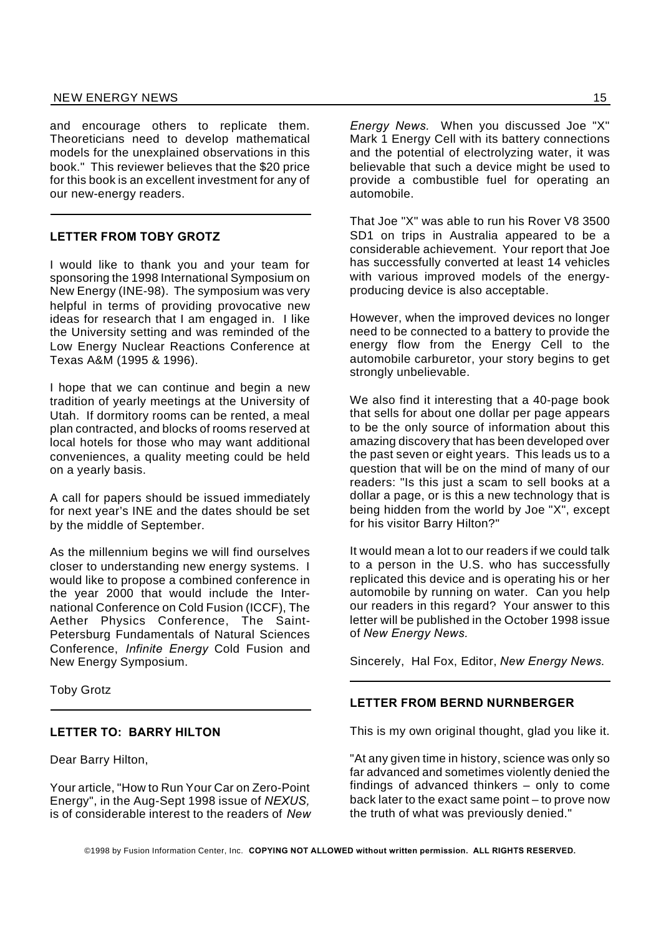and encourage others to replicate them. Theoreticians need to develop mathematical models for the unexplained observations in this book." This reviewer believes that the \$20 price for this book is an excellent investment for any of our new-energy readers.

#### **LETTER FROM TOBY GROTZ**

I would like to thank you and your team for sponsoring the 1998 International Symposium on New Energy (INE-98). The symposium was very helpful in terms of providing provocative new ideas for research that I am engaged in. I like the University setting and was reminded of the Low Energy Nuclear Reactions Conference at Texas A&M (1995 & 1996).

I hope that we can continue and begin a new tradition of yearly meetings at the University of Utah. If dormitory rooms can be rented, a meal plan contracted, and blocks of rooms reserved at local hotels for those who may want additional conveniences, a quality meeting could be held on a yearly basis.

A call for papers should be issued immediately for next year's INE and the dates should be set by the middle of September.

As the millennium begins we will find ourselves closer to understanding new energy systems. I would like to propose a combined conference in the year 2000 that would include the International Conference on Cold Fusion (ICCF), The Aether Physics Conference, The Saint-Petersburg Fundamentals of Natural Sciences Conference, *Infinite Energy* Cold Fusion and New Energy Symposium.

Toby Grotz

#### **LETTER TO: BARRY HILTON**

Dear Barry Hilton,

Your article, "How to Run Your Car on Zero-Point Energy", in the Aug-Sept 1998 issue of *NEXUS,* is of considerable interest to the readers of *New* *Energy News.* When you discussed Joe "X" Mark 1 Energy Cell with its battery connections and the potential of electrolyzing water, it was believable that such a device might be used to provide a combustible fuel for operating an automobile.

That Joe "X" was able to run his Rover V8 3500 SD1 on trips in Australia appeared to be a considerable achievement. Your report that Joe has successfully converted at least 14 vehicles with various improved models of the energyproducing device is also acceptable.

However, when the improved devices no longer need to be connected to a battery to provide the energy flow from the Energy Cell to the automobile carburetor, your story begins to get strongly unbelievable.

We also find it interesting that a 40-page book that sells for about one dollar per page appears to be the only source of information about this amazing discovery that has been developed over the past seven or eight years. This leads us to a question that will be on the mind of many of our readers: "Is this just a scam to sell books at a dollar a page, or is this a new technology that is being hidden from the world by Joe "X", except for his visitor Barry Hilton?"

It would mean a lot to our readers if we could talk to a person in the U.S. who has successfully replicated this device and is operating his or her automobile by running on water. Can you help our readers in this regard? Your answer to this letter will be published in the October 1998 issue of *New Energy News.*

Sincerely, Hal Fox, Editor, *New Energy News*.

#### **LETTER FROM BERND NURNBERGER**

This is my own original thought, glad you like it.

"At any given time in history, science was only so far advanced and sometimes violently denied the findings of advanced thinkers – only to come back later to the exact same point – to prove now the truth of what was previously denied."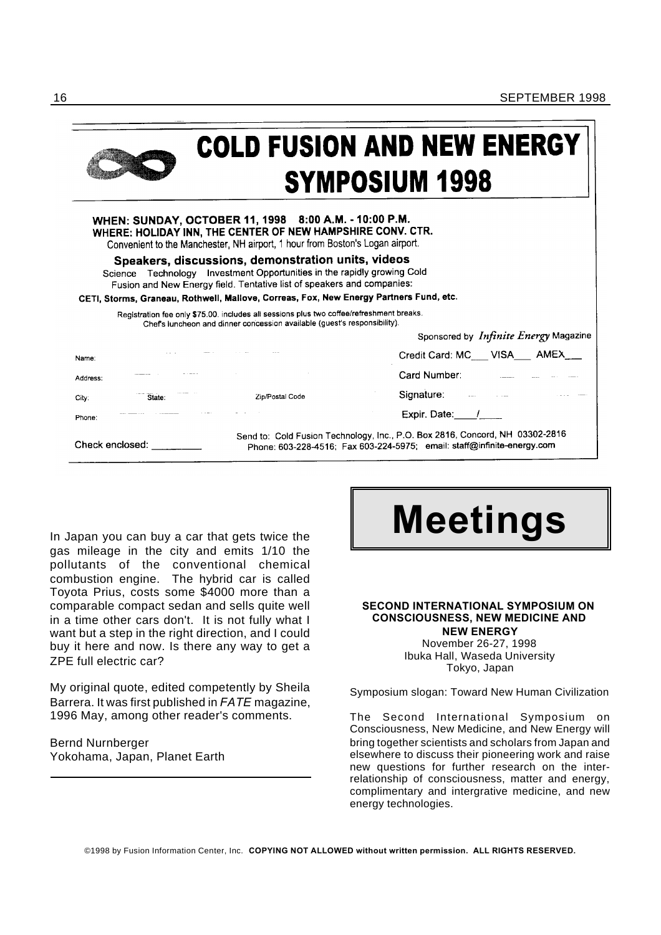

## **COLD FUSION AND NEW ENERGY SYMPOSIUM 1998**

| WHEN: SUNDAY, OCTOBER 11, 1998 8:00 A.M. - 10:00 P.M.<br>WHERE: HOLIDAY INN, THE CENTER OF NEW HAMPSHIRE CONV. CTR.<br>Convenient to the Manchester, NH airport, 1 hour from Boston's Logan airport.                  |                 |                                                                                                                                                         |  |  |  |
|-----------------------------------------------------------------------------------------------------------------------------------------------------------------------------------------------------------------------|-----------------|---------------------------------------------------------------------------------------------------------------------------------------------------------|--|--|--|
| Speakers, discussions, demonstration units, videos<br>Science Technology Investment Opportunities in the rapidly growing Cold<br>Fusion and New Energy field. Tentative list of speakers and companies:               |                 |                                                                                                                                                         |  |  |  |
| CETI, Storms, Graneau, Rothwell, Mallove, Correas, Fox, New Energy Partners Fund, etc.                                                                                                                                |                 |                                                                                                                                                         |  |  |  |
| Registration fee only \$75.00, includes all sessions plus two coffee/refreshment breaks.<br>Chef's luncheon and dinner concession available (guest's responsibility).<br>Sponsored by <i>Infinite Energy</i> Magazine |                 |                                                                                                                                                         |  |  |  |
|                                                                                                                                                                                                                       |                 |                                                                                                                                                         |  |  |  |
| Name:                                                                                                                                                                                                                 |                 | Credit Card: MC___ VISA___ AMEX_                                                                                                                        |  |  |  |
| Address:                                                                                                                                                                                                              |                 | Card Number:                                                                                                                                            |  |  |  |
| State:<br>City:                                                                                                                                                                                                       | Zip/Postal Code | Signature: <u>Executive</u>                                                                                                                             |  |  |  |
| Phone:                                                                                                                                                                                                                |                 | Expir. Date: /                                                                                                                                          |  |  |  |
| Check enclosed:                                                                                                                                                                                                       |                 | Send to: Cold Fusion Technology, Inc., P.O. Box 2816, Concord, NH 03302-2816<br>Phone: 603-228-4516; Fax 603-224-5975; email: staff@infinite-energy.com |  |  |  |

gas mileage in the city and emits 1/10 the pollutants of the conventional chemical combustion engine. The hybrid car is called Toyota Prius, costs some \$4000 more than a comparable compact sedan and sells quite well in a time other cars don't. It is not fully what I want but a step in the right direction, and I could buy it here and now. Is there any way to get a ZPE full electric car?

My original quote, edited competently by Sheila Barrera. It was first published in *FATE* magazine, 1996 May, among other reader's comments.

Bernd Nurnberger Yokohama, Japan, Planet Earth

# In Japan you can buy a car that gets twice the **Meetings**

#### **SECOND INTERNATIONAL SYMPOSIUM ON CONSCIOUSNESS, NEW MEDICINE AND NEW ENERGY**

November 26-27, 1998 Ibuka Hall, Waseda University Tokyo, Japan

Symposium slogan: Toward New Human Civilization

The Second International Symposium on Consciousness, New Medicine, and New Energy will bring together scientists and scholars from Japan and elsewhere to discuss their pioneering work and raise new questions for further research on the interrelationship of consciousness, matter and energy, complimentary and intergrative medicine, and new energy technologies.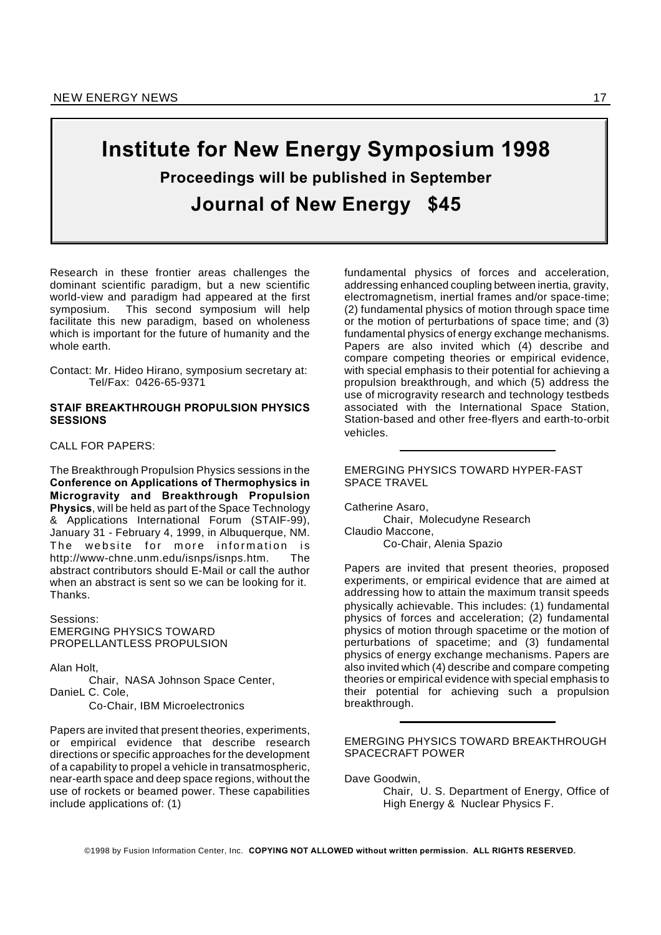## **Institute for New Energy Symposium 1998 Proceedings will be published in September Journal of New Energy \$45**

Research in these frontier areas challenges the dominant scientific paradigm, but a new scientific world-view and paradigm had appeared at the first symposium. This second symposium will help facilitate this new paradigm, based on wholeness which is important for the future of humanity and the whole earth.

Contact: Mr. Hideo Hirano, symposium secretary at: Tel/Fax: 0426-65-9371

#### **STAIF BREAKTHROUGH PROPULSION PHYSICS SESSIONS**

CALL FOR PAPERS:

The Breakthrough Propulsion Physics sessions in the **Conference on Applications of Thermophysics in Microgravity and Breakthrough Propulsion Physics**, will be held as part of the Space Technology & Applications International Forum (STAIF-99), January 31 - February 4, 1999, in Albuquerque, NM. The website for more information is http://www-chne.unm.edu/isnps/isnps.htm. The abstract contributors should E-Mail or call the author when an abstract is sent so we can be looking for it. Thanks.

Sessions: EMERGING PHYSICS TOWARD PROPELLANTLESS PROPULSION

Alan Holt,

Chair, NASA Johnson Space Center, DanieL C. Cole, Co-Chair, IBM Microelectronics

Papers are invited that present theories, experiments, or empirical evidence that describe research directions or specific approaches for the development of a capability to propel a vehicle in transatmospheric, near-earth space and deep space regions, without the use of rockets or beamed power. These capabilities include applications of: (1)

fundamental physics of forces and acceleration, addressing enhanced coupling between inertia, gravity, electromagnetism, inertial frames and/or space-time; (2) fundamental physics of motion through space time or the motion of perturbations of space time; and (3) fundamental physics of energy exchange mechanisms. Papers are also invited which (4) describe and compare competing theories or empirical evidence, with special emphasis to their potential for achieving a propulsion breakthrough, and which (5) address the use of microgravity research and technology testbeds associated with the International Space Station, Station-based and other free-flyers and earth-to-orbit vehicles.

#### EMERGING PHYSICS TOWARD HYPER-FAST SPACE TRAVEL

Catherine Asaro, Chair, Molecudyne Research Claudio Maccone, Co-Chair, Alenia Spazio

Papers are invited that present theories, proposed experiments, or empirical evidence that are aimed at addressing how to attain the maximum transit speeds physically achievable. This includes: (1) fundamental physics of forces and acceleration; (2) fundamental physics of motion through spacetime or the motion of perturbations of spacetime; and (3) fundamental physics of energy exchange mechanisms. Papers are also invited which (4) describe and compare competing theories or empirical evidence with special emphasis to their potential for achieving such a propulsion breakthrough.

EMERGING PHYSICS TOWARD BREAKTHROUGH SPACECRAFT POWER

Dave Goodwin,

Chair, U. S. Department of Energy, Office of High Energy & Nuclear Physics F.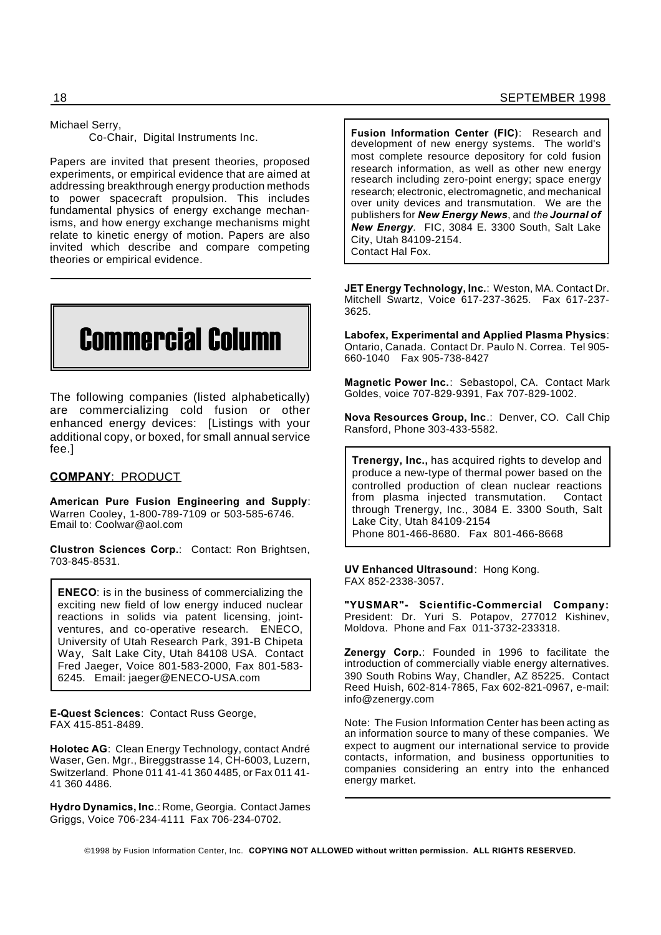Michael Serry,

Co-Chair, Digital Instruments Inc.

Papers are invited that present theories, proposed experiments, or empirical evidence that are aimed at addressing breakthrough energy production methods to power spacecraft propulsion. This includes fundamental physics of energy exchange mechanisms, and how energy exchange mechanisms might relate to kinetic energy of motion. Papers are also invited which describe and compare competing theories or empirical evidence.

# Commercial Column

The following companies (listed alphabetically) are commercializing cold fusion or other enhanced energy devices: [Listings with your additional copy, or boxed, for small annual service fee.]

#### **COMPANY**: PRODUCT

**American Pure Fusion Engineering and Supply**: Warren Cooley, 1-800-789-7109 or 503-585-6746. Email to: Coolwar@aol.com

**Clustron Sciences Corp.**: Contact: Ron Brightsen, 703-845-8531.

**ENECO**: is in the business of commercializing the exciting new field of low energy induced nuclear reactions in solids via patent licensing, jointventures, and co-operative research. ENECO, University of Utah Research Park, 391-B Chipeta Way, Salt Lake City, Utah 84108 USA. Contact Fred Jaeger, Voice 801-583-2000, Fax 801-583- 6245. Email: jaeger@ENECO-USA.com

**E-Quest Sciences**: Contact Russ George, FAX 415-851-8489.

**Holotec AG**: Clean Energy Technology, contact André Waser, Gen. Mgr., Bireggstrasse 14, CH-6003, Luzern, Switzerland. Phone 011 41-41 360 4485, or Fax 011 41- 41 360 4486.

**Hydro Dynamics, Inc**.: Rome, Georgia. Contact James Griggs, Voice 706-234-4111 Fax 706-234-0702.

**Fusion Information Center (FIC)**: Research and development of new energy systems. The world's most complete resource depository for cold fusion research information, as well as other new energy research including zero-point energy; space energy research; electronic, electromagnetic, and mechanical over unity devices and transmutation. We are the publishers for *New Energy News*, and *the Journal of New Energy.* FIC, 3084 E. 3300 South, Salt Lake City, Utah 84109-2154. Contact Hal Fox.

**JET Energy Technology, Inc.**: Weston, MA. Contact Dr. Mitchell Swartz, Voice 617-237-3625. Fax 617-237- 3625.

**Labofex, Experimental and Applied Plasma Physics**: Ontario, Canada. Contact Dr. Paulo N. Correa. Tel 905- 660-1040 Fax 905-738-8427

**Magnetic Power Inc.**: Sebastopol, CA. Contact Mark Goldes, voice 707-829-9391, Fax 707-829-1002.

**Nova Resources Group, Inc**.: Denver, CO. Call Chip Ransford, Phone 303-433-5582.

**Trenergy, Inc.,** has acquired rights to develop and produce a new-type of thermal power based on the controlled production of clean nuclear reactions from plasma injected transmutation. Contact through Trenergy, Inc., 3084 E. 3300 South, Salt Lake City, Utah 84109-2154 Phone 801-466-8680. Fax 801-466-8668

**UV Enhanced Ultrasound**: Hong Kong. FAX 852-2338-3057.

**"YUSMAR"- Scientific-Commercial Company:** President: Dr. Yuri S. Potapov, 277012 Kishinev, Moldova. Phone and Fax 011-3732-233318.

**Zenergy Corp.**: Founded in 1996 to facilitate the introduction of commercially viable energy alternatives. 390 South Robins Way, Chandler, AZ 85225. Contact Reed Huish, 602-814-7865, Fax 602-821-0967, e-mail: info@zenergy.com

Note: The Fusion Information Center has been acting as an information source to many of these companies. We expect to augment our international service to provide contacts, information, and business opportunities to companies considering an entry into the enhanced energy market.

©1998 by Fusion Information Center, Inc. **COPYING NOT ALLOWED without written permission. ALL RIGHTS RESERVED.**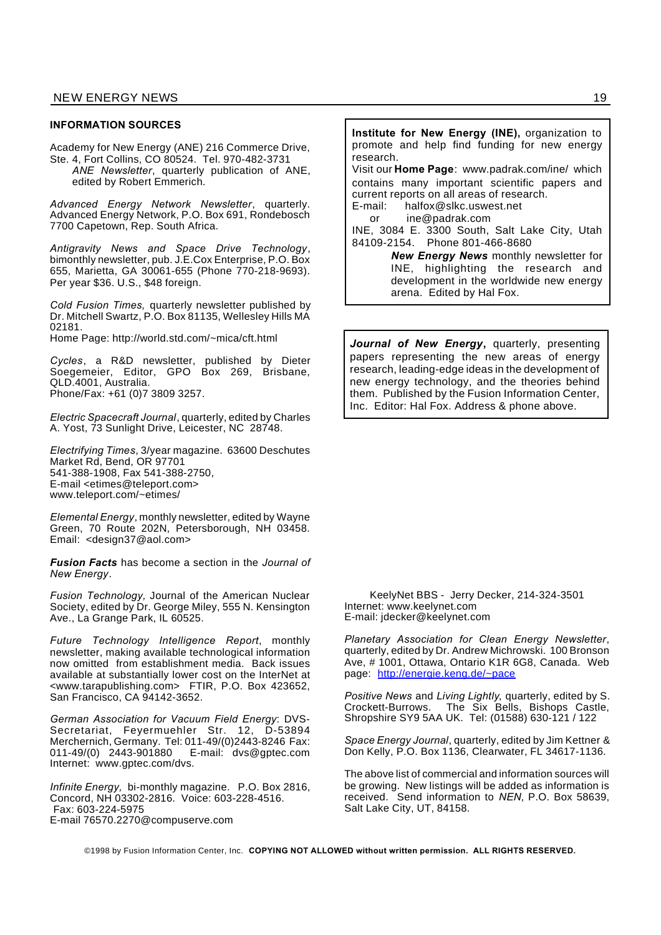#### **INFORMATION SOURCES**

Academy for New Energy (ANE) 216 Commerce Drive, Ste. 4, Fort Collins, CO 80524. Tel. 970-482-3731 *ANE Newsletter*, quarterly publication of ANE, edited by Robert Emmerich.

*Advanced Energy Network Newsletter*, quarterly. Advanced Energy Network, P.O. Box 691, Rondebosch 7700 Capetown, Rep. South Africa.

*Antigravity News and Space Drive Technology*, bimonthly newsletter, pub. J.E.Cox Enterprise, P.O. Box 655, Marietta, GA 30061-655 (Phone 770-218-9693). Per year \$36. U.S., \$48 foreign.

*Cold Fusion Times,* quarterly newsletter published by Dr. Mitchell Swartz, P.O. Box 81135, Wellesley Hills MA 02181.

Home Page: http://world.std.com/~mica/cft.html

*Cycles*, a R&D newsletter, published by Dieter Soegemeier, Editor, GPO Box 269, Brisbane, QLD.4001, Australia. Phone/Fax: +61 (0)7 3809 3257.

*Electric Spacecraft Journal*, quarterly, edited by Charles A. Yost, 73 Sunlight Drive, Leicester, NC 28748.

*Electrifying Times*, 3/year magazine. 63600 Deschutes Market Rd, Bend, OR 97701 541-388-1908, Fax 541-388-2750, E-mail <etimes@teleport.com> www.teleport.com/~etimes/

*Elemental Energy*, monthly newsletter, edited by Wayne Green, 70 Route 202N, Petersborough, NH 03458. Email: <design37@aol.com>

*Fusion Facts* has become a section in the *Journal of New Energy*.

*Fusion Technology,* Journal of the American Nuclear Society, edited by Dr. George Miley, 555 N. Kensington Ave., La Grange Park, IL 60525.

*Future Technology Intelligence Report*, monthly newsletter, making available technological information now omitted from establishment media. Back issues available at substantially lower cost on the InterNet at <www.tarapublishing.com> FTIR, P.O. Box 423652, San Francisco, CA 94142-3652.

*German Association for Vacuum Field Energy*: DVS-Secretariat, Feyermuehler Str. 12, D-53894 Merchernich, Germany. Tel: 011-49/(0)2443-8246 Fax: 011-49/(0) 2443-901880 E-mail: dvs@gptec.com Internet: www.gptec.com/dvs.

*Infinite Energy,* bi-monthly magazine. P.O. Box 2816, Concord, NH 03302-2816. Voice: 603-228-4516. Fax: 603-224-5975 E-mail 76570.2270@compuserve.com

**Institute for New Energy (INE),** organization to promote and help find funding for new energy research. Visit our **Home Page**: www.padrak.com/ine/ which contains many important scientific papers and current reports on all areas of research. E-mail: halfox@slkc.uswest.net or ine@padrak.com INE, 3084 E. 3300 South, Salt Lake City, Utah 84109-2154. Phone 801-466-8680 *New Energy News* monthly newsletter for INE, highlighting the research and

development in the worldwide new energy

*Journal of New Energy***,** quarterly, presenting papers representing the new areas of energy research, leading-edge ideas in the development of new energy technology, and the theories behind them. Published by the Fusion Information Center, Inc. Editor: Hal Fox. Address & phone above.

arena. Edited by Hal Fox.

KeelyNet BBS - Jerry Decker, 214-324-3501 Internet: www.keelynet.com E-mail: jdecker@keelynet.com

*Planetary Association for Clean Energy Newsletter*, quarterly, edited by Dr. Andrew Michrowski. 100 Bronson Ave, # 1001, Ottawa, Ontario K1R 6G8, Canada. Web page: http://energie.keng.de/~pace

*Positive News* and *Living Lightly*, quarterly, edited by S. Crockett-Burrows. The Six Bells, Bishops Castle, Shropshire SY9 5AA UK. Tel: (01588) 630-121 / 122

*Space Energy Journal*, quarterly, edited by Jim Kettner & Don Kelly, P.O. Box 1136, Clearwater, FL 34617-1136.

The above list of commercial and information sources will be growing. New listings will be added as information is received. Send information to *NEN*, P.O. Box 58639, Salt Lake City, UT, 84158.

©1998 by Fusion Information Center, Inc. **COPYING NOT ALLOWED without written permission. ALL RIGHTS RESERVED.**